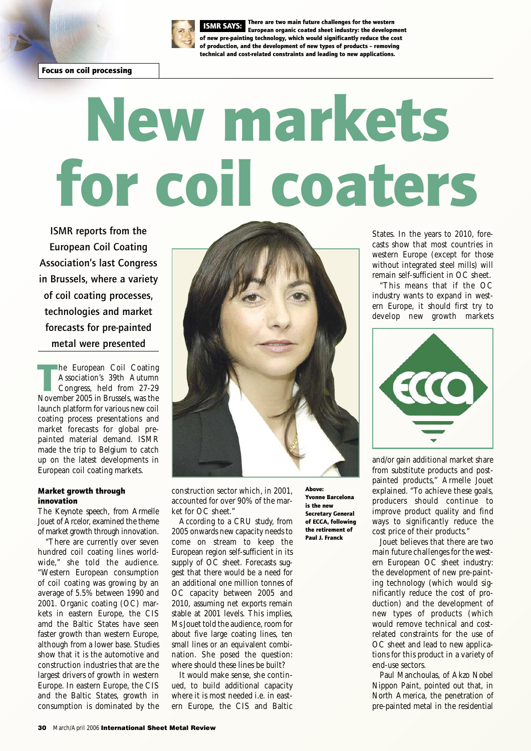

There are two main future challenges for the western European organic coated sheet industry: the development ISMR SAYS: of new pre-painting technology, which would significantly reduce the cost of production, and the development of new types of products – removing technical and cost-related constraints and leading to new applications.

# New markets for coil coaters

**ISMR reports from the European Coil Coating Association's last Congress in Brussels, where a variety of coil coating processes, technologies and market forecasts for pre-painted metal were presented**

he European Coil Coating<br>Association's 39th Autumn<br>Congress, held from 27-29<br>November 2005 in Brussels, was the he European Coil Coating Association's 39th Autumn Congress, held from 27-29 launch platform for various new coil coating process presentations and market forecasts for global prepainted material demand. ISMR made the trip to Belgium to catch up on the latest developments in European coil coating markets.

### Market growth through innovation

The Keynote speech, from Armelle Jouet of Arcelor, examined the theme of market growth through innovation.

"There are currently over seven hundred coil coating lines worldwide," she told the audience. "Western European consumption of coil coating was growing by an average of 5.5% between 1990 and 2001. Organic coating (OC) markets in eastern Europe, the CIS amd the Baltic States have seen faster growth than western Europe, although from a lower base. Studies show that it is the automotive and construction industries that are the largest drivers of growth in western Europe. In eastern Europe, the CIS and the Baltic States, growth in consumption is dominated by the



construction sector which, in 2001, accounted for over 90% of the market for OC sheet."

According to a CRU study, from 2005 onwards new capacity needs to come on stream to keep the European region self-sufficient in its supply of OC sheet. Forecasts suggest that there would be a need for an additional one million tonnes of OC capacity between 2005 and 2010, assuming net exports remain stable at 2001 levels. This implies, Ms Jouet told the audience, room for about five large coating lines, ten small lines or an equivalent combination. She posed the question: where should these lines be built?

It would make sense, she continued, to build additional capacity where it is most needed i.e. in eastern Europe, the CIS and Baltic Above: Yvonne Barcelona is the new Secretary General of ECCA, following the retirement of Paul J. Franck

States. In the years to 2010, forecasts show that most countries in western Europe (except for those without integrated steel mills) will remain self-sufficient in OC sheet.

"This means that if the OC industry wants to expand in western Europe, it should first try to develop new growth markets



and/or gain additional market share from substitute products and postpainted products," Armelle Jouet explained. "To achieve these goals, producers should continue to improve product quality and find ways to significantly reduce the cost price of their products."

Jouet believes that there are two main future challenges for the western European OC sheet industry: the development of new pre-painting technology (which would significantly reduce the cost of production) and the development of new types of products (which would remove technical and costrelated constraints for the use of OC sheet and lead to new applications for this product in a variety of end-use sectors.

Paul Manchoulas, of Akzo Nobel Nippon Paint, pointed out that, in North America, the penetration of pre-painted metal in the residential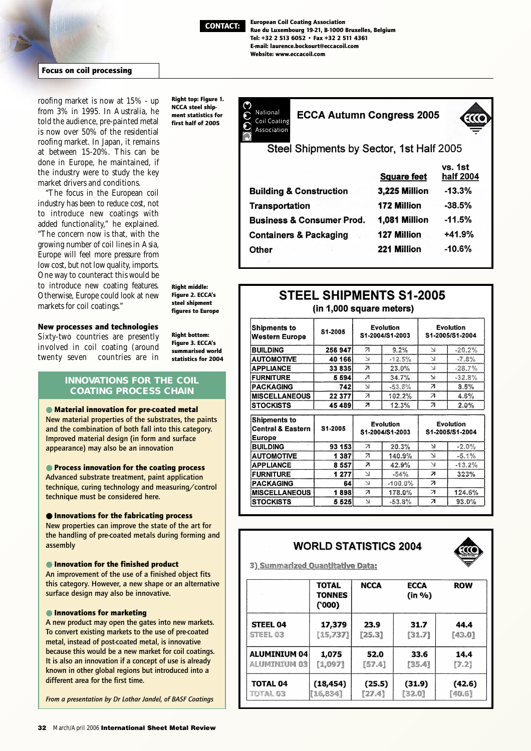

European Coil Coating Association Rue du Luxembourg 19-21, B-1000 Bruxelles, Belgium Tel: +32 2 513 6052 • Fax +32 2 511 4361 E-mail: laurence.bockourt@eccacoil.com Website: www.eccacoil.com

### Focus on coil processing

roofing market is now at 15% - up from 3% in 1995. In Australia, he told the audience, pre-painted metal is now over 50% of the residential roofing market. In Japan, it remains at between 15-20%. This can be done in Europe, he maintained, if the industry were to study the key market drivers and conditions.

"The focus in the European coil industry has been to reduce cost, not to introduce new coatings with added functionality," he explained. "The concern now is that, with the growing number of coil lines in Asia, Europe will feel more pressure from low cost, but not low quality, imports. One way to counteract this would be to introduce new coating features. Otherwise, Europe could look at new markets for coil coatings."

Right top: Figure 1. NCCA steel shipment statistics for first half of 2005

National **ECCA Autumn Congress 2005** Coil Coating Association



Steel Shipments by Sector, 1st Half 2005

|                                      | <b>Square feet</b> | VS. 1ST<br>half 2004 |  |
|--------------------------------------|--------------------|----------------------|--|
| <b>Building &amp; Construction</b>   | 3,225 Million      | $-13.3%$             |  |
| <b>Transportation</b>                | 172 Million        | $-38.5%$             |  |
| <b>Business &amp; Consumer Prod.</b> | 1,081 Million      | $-11.5%$             |  |
| <b>Containers &amp; Packaging</b>    | <b>127 Million</b> | $+41.9%$             |  |
| Other                                | 221 Million        | $-10.6%$             |  |
|                                      |                    |                      |  |

Right middle: Figure 2. ECCA's steel shipment figures to Europe

## New processes and technologies

Sixty-two countries are presently involved in coil coating (around twenty seven countries are in Right bottom: Figure 3. ECCA's summarised world statistics for 2004

### **INNOVATIONS FOR THE COIL COATING PROCESS CHAIN**

# ● Material innovation for pre-coated metal **New material properties of the substrates, the paints and the combination of both fall into this category.**

**Improved material design (in form and surface appearance) may also be an innovation**

### ● Process innovation for the coating process

**Advanced substrate treatment, paint application technique, curing technology and measuring/control technique must be considered here.**

### ● Innovations for the fabricating process

**New properties can improve the state of the art for the handling of pre-coated metals during forming and assembly**

### ● Innovation for the finished product

**An improvement of the use of a finished object fits this category. However, a new shape or an alternative surface design may also be innovative.**

### ● Innovations for marketing

**A new product may open the gates into new markets. To convert existing markets to the use of pre-coated metal, instead of post-coated metal, is innovative because this would be a new market for coil coatings. It is also an innovation if a concept of use is already known in other global regions but introduced into a different area for the first time.**

*From a presentation by Dr Lothar Jandel, of BASF Coatings*

# **STEEL SHIPMENTS S1-2005** (in 1.000 square meters)

| <b>Shipments to</b><br><b>Western Europe</b>                  | S1-2005 | Evolution<br>S1-2004/S1-2003 |            | <b>Evolution</b><br>S1-2005/S1-2004 |           |
|---------------------------------------------------------------|---------|------------------------------|------------|-------------------------------------|-----------|
| <b>BUILDING</b>                                               | 256 947 | $\overline{z}$               | $9.2\%$    | 7Ŧ                                  | $-20.2%$  |
| <b>AUTOMOTIVE</b>                                             | 40 166  | ¥.                           | $-12.5%$   | 73                                  | $-7.8%$   |
| APPLIANCE                                                     | 33835   | ≫                            | $23.0\%$   | <b>S</b>                            | $-28.7\%$ |
| <b>FURNITURE</b>                                              | 5594    | 71                           | 34.7%      | V,                                  | $-32.8\%$ |
| PACKAGING                                                     | 742     | V.                           | $-53.8%$   | 7                                   | $8.5\%$   |
| <b>MISCELLANEOUS</b>                                          | 22 377  | $\overline{A}$               | 102.2%     | $\overline{A}$                      | 4.6%      |
| <b>STOCKISTS</b>                                              | 45489   | 21                           | 12.3%      | $\overline{\mathbf{z}}$             | 2.0%      |
| <b>Shipments to</b><br><b>Central &amp; Eastern</b><br>Europe | S1-2005 | Evolution<br>S1-2004/S1-2003 |            | Evolution<br>S1-2005/S1-2004        |           |
| <b>BUILDING</b>                                               | 93 153  | $\overline{\phantom{a}}$     | 20.3%      | ¥                                   | $-2.0%$   |
| <b>AUTOMOTIVE</b>                                             | 1 3 8 7 | $\overline{a}$               | 140.9%     | V.                                  | $-5.1%$   |
| <b>APPLIANCE</b>                                              | 8557    | $\overline{\boldsymbol{r}}$  | 42.9%      | N                                   | $-13.2%$  |
|                                                               |         | 71                           | $-54\%$    | 71                                  | 323%      |
| <b>FURNITURE</b>                                              | 1 277   |                              |            |                                     |           |
| <b>PACKAGING</b>                                              | 64      | N                            | $-100.0\%$ | $\overline{\mathbf{z}}$             |           |
| <b>MISCELLANEOUS</b>                                          | 1898    | $\overline{\mathbf{z}}$      | 178.0%     | $\overline{A}$                      | 124.6%    |

### **WORLD STATISTICS 2004**



3) Summarized Quantitative Data:

|                     | <b>TOTAL</b><br><b>TONNES</b><br>(000) | <b>NCCA</b> | <b>ECCA</b><br>(in %) | <b>ROW</b> |
|---------------------|----------------------------------------|-------------|-----------------------|------------|
| <b>STEEL 04</b>     | 17,379                                 | 23.9        | 31.7                  | 44.4       |
| STEEL 03            | [15,737]                               | [25.3]      | [31.7]                | [43.0]     |
| <b>ALUMINIUM 04</b> | 1,075                                  | 52.0        | 33.6                  | 14.4       |
| <b>ALUMINIUM 03</b> | [1,097]                                | [57.4]      | [35.4]                | [7.2]      |
| TOTAL 04            | (18, 454)                              | (25.5)      | (31.9)                | (42.6)     |
| total 63            | [16,834]                               | [27.4]      | [32.0]                | [40.6]     |